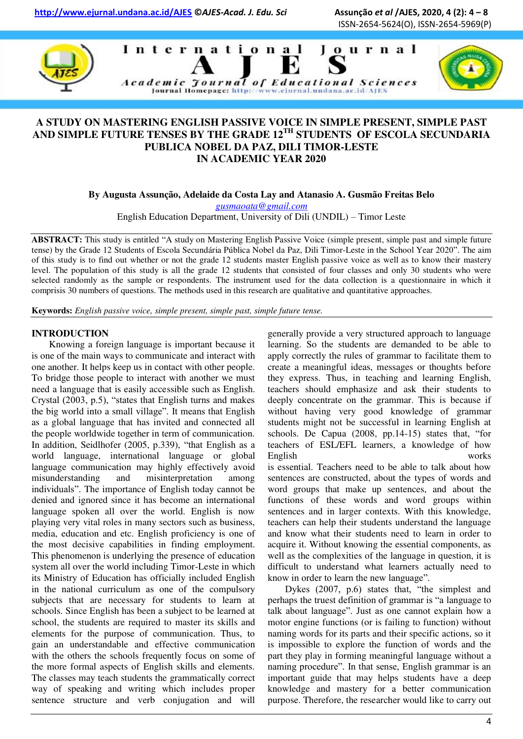**http://www.ejurnal.undana.ac.id/AJES ©***AJES-Acad. J. Edu. Sci* **Assunção** *et al* **/AJES, 2020, 4 (2): 4 – 8** 

International

ISSN-2654-5624(O), ISSN-2654-5969(P)

Journal





# **A STUDY ON MASTERING ENGLISH PASSIVE VOICE IN SIMPLE PRESENT, SIMPLE PAST AND SIMPLE FUTURE TENSES BY THE GRADE 12TH STUDENTS OF ESCOLA SECUNDARIA PUBLICA NOBEL DA PAZ, DILI TIMOR-LESTE IN ACADEMIC YEAR 2020**

Academic Journal of Educational Sciences Journal Homepage: http://www.cjurnal.undana.ac.id/AJES

**By Augusta Assunção, Adelaide da Costa Lay and Atanasio A. Gusmão Freitas Belo** 

*[gusmaoata@gmail.com](mailto:gusmaoata@gmail.com)* 

English Education Department, University of Dili (UNDIL) – Timor Leste

**ABSTRACT:** This study is entitled "A study on Mastering English Passive Voice (simple present, simple past and simple future tense) by the Grade 12 Students of Escola Secundária Pública Nobel da Paz, Dili Timor-Leste in the School Year 2020". The aim of this study is to find out whether or not the grade 12 students master English passive voice as well as to know their mastery level. The population of this study is all the grade 12 students that consisted of four classes and only 30 students who were selected randomly as the sample or respondents. The instrument used for the data collection is a questionnaire in which it comprisis 30 numbers of questions. The methods used in this research are qualitative and quantitative approaches.

**Keywords:** *English passive voice, simple present, simple past, simple future tense.*

# **INTRODUCTION**

Knowing a foreign language is important because it is one of the main ways to communicate and interact with one another. It helps keep us in contact with other people. To bridge those people to interact with another we must need a language that is easily accessible such as English. Crystal (2003, p.5), "states that English turns and makes the big world into a small village". It means that English as a global language that has invited and connected all the people worldwide together in term of communication. In addition, Seidlhofer (2005, p.339), "that English as a world language, international language or global language communication may highly effectively avoid misunderstanding and misinterpretation among individuals". The importance of English today cannot be denied and ignored since it has become an international language spoken all over the world. English is now playing very vital roles in many sectors such as business, media, education and etc. English proficiency is one of the most decisive capabilities in finding employment. This phenomenon is underlying the presence of education system all over the world including Timor-Leste in which its Ministry of Education has officially included English in the national curriculum as one of the compulsory subjects that are necessary for students to learn at schools. Since English has been a subject to be learned at school, the students are required to master its skills and elements for the purpose of communication. Thus, to gain an understandable and effective communication with the others the schools frequently focus on some of the more formal aspects of English skills and elements. The classes may teach students the grammatically correct way of speaking and writing which includes proper sentence structure and verb conjugation and will

generally provide a very structured approach to language learning. So the students are demanded to be able to apply correctly the rules of grammar to facilitate them to create a meaningful ideas, messages or thoughts before they express. Thus, in teaching and learning English, teachers should emphasize and ask their students to deeply concentrate on the grammar. This is because if without having very good knowledge of grammar students might not be successful in learning English at schools. De Capua (2008, pp.14-15) states that, "for teachers of ESL/EFL learners, a knowledge of how English works is essential. Teachers need to be able to talk about how sentences are constructed, about the types of words and word groups that make up sentences, and about the functions of these words and word groups within sentences and in larger contexts. With this knowledge, teachers can help their students understand the language and know what their students need to learn in order to acquire it. Without knowing the essential components, as well as the complexities of the language in question, it is difficult to understand what learners actually need to know in order to learn the new language".

Dykes (2007, p.6) states that, "the simplest and perhaps the truest definition of grammar is "a language to talk about language". Just as one cannot explain how a motor engine functions (or is failing to function) without naming words for its parts and their specific actions, so it is impossible to explore the function of words and the part they play in forming meaningful language without a naming procedure". In that sense, English grammar is an important guide that may helps students have a deep knowledge and mastery for a better communication purpose. Therefore, the researcher would like to carry out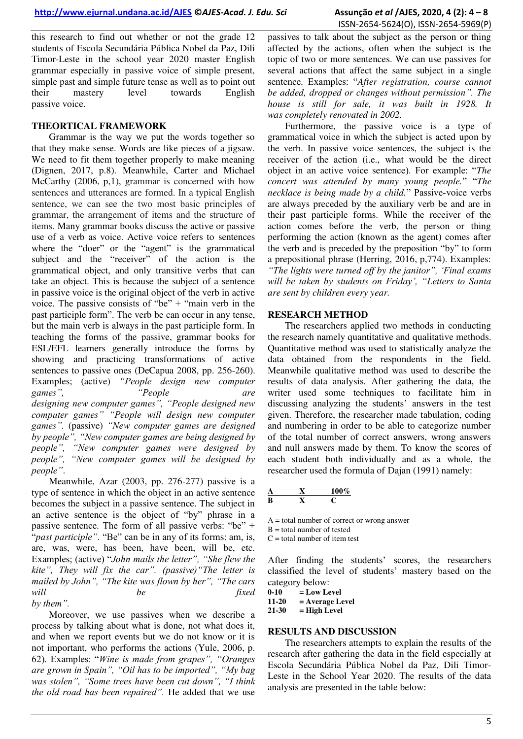this research to find out whether or not the grade 12 students of Escola Secundária Pública Nobel da Paz, Dili Timor-Leste in the school year 2020 master English grammar especially in passive voice of simple present, simple past and simple future tense as well as to point out their mastery level towards English passive voice.

### **THEORTICAL FRAMEWORK**

Grammar is the way we put the words together so that they make sense. Words are like pieces of a jigsaw. We need to fit them together properly to make meaning (Dignen, 2017, p.8). Meanwhile, Carter and Michael McCarthy (2006, p,1), grammar is concerned with how sentences and utterances are formed. In a typical English sentence, we can see the two most basic principles of grammar, the arrangement of items and the structure of items. Many grammar books discuss the active or passive use of a verb as voice. Active voice refers to sentences where the "doer" or the "agent" is the grammatical subject and the "receiver" of the action is the grammatical object, and only transitive verbs that can take an object. This is because the subject of a sentence in passive voice is the original object of the verb in active voice. The passive consists of "be" + "main verb in the past participle form". The verb be can occur in any tense, but the main verb is always in the past participle form. In teaching the forms of the passive, grammar books for ESL/EFL learners generally introduce the forms by showing and practicing transformations of active sentences to passive ones (DeCapua 2008, pp. 256-260). Examples; (active) *"People design new computer games", "People are designing new computer games", "People designed new computer games" "People will design new computer games".* (passive) *"New computer games are designed by people", "New computer games are being designed by people", "New computer games were designed by people", "New computer games will be designed by people"*.

Meanwhile, Azar (2003, pp. 276-277) passive is a type of sentence in which the object in an active sentence becomes the subject in a passive sentence. The subject in an active sentence is the object of "by" phrase in a passive sentence. The form of all passive verbs: "be"  $+$ "past participle". "Be" can be in any of its forms: am, is, are, was, were, has been, have been, will be, etc. Examples; (active) "*John mails the letter", "She flew the kite", They will fix the car". (passive)"The letter is mailed by John", "The kite was flown by her", "The cars will be fixed by them".*

Moreover, we use passives when we describe a process by talking about what is done, not what does it, and when we report events but we do not know or it is not important, who performs the actions (Yule, 2006, p. 62). Examples: "*Wine is made from grapes", "Oranges are grown in Spain", "Oil has to be imported", "My bag was stolen", "Some trees have been cut down", "I think the old road has been repaired".* He added that we use

passives to talk about the subject as the person or thing affected by the actions, often when the subject is the topic of two or more sentences. We can use passives for several actions that affect the same subject in a single sentence. Examples: "*After registration, course cannot be added, dropped or changes without permission". The house is still for sale, it was built in 1928. It was completely renovated in 2002.* 

Furthermore, the passive voice is a type of grammatical voice in which the subject is acted upon by the verb. In passive voice sentences, the subject is the receiver of the action (i.e., what would be the direct object in an active voice sentence). For example: "*The concert was attended by many young people.*" "*The necklace is being made by a child.*" Passive-voice verbs are always preceded by the auxiliary verb be and are in their past participle forms. While the receiver of the action comes before the verb, the person or thing performing the action (known as the agent) comes after the verb and is preceded by the preposition "by" to form a prepositional phrase (Herring, 2016, p,774). Examples:

*"The lights were turned off by the janitor", "Final exams will be taken by students on Friday", "Letters to Santa are sent by children every year.* 

### **RESEARCH METHOD**

The researchers applied two methods in conducting the research namely quantitative and qualitative methods. Quantitative method was used to statistically analyze the data obtained from the respondents in the field. Meanwhile qualitative method was used to describe the results of data analysis. After gathering the data, the writer used some techniques to facilitate him in discussing analyzing the students' answers in the test given. Therefore, the researcher made tabulation, coding and numbering in order to be able to categorize number of the total number of correct answers, wrong answers and null answers made by them. To know the scores of each student both individually and as a whole, the researcher used the formula of Dajan (1991) namely:

|   | 100% |
|---|------|
| B |      |

 $A =$  total number of correct or wrong answer

 $B =$  total number of tested

 $C =$  total number of item test

After finding the students' scores, the researchers classified the level of students' mastery based on the category below:<br> $0-10$  = Low Le

 $\begin{bmatrix} 0-10 \\ 11-20 \\ = \text{Average} \end{bmatrix}$  $=$  Average Level

**21-30 = High Level** 

# **RESULTS AND DISCUSSION**

The researchers attempts to explain the results of the research after gathering the data in the field especially at Escola Secundária Pública Nobel da Paz, Dili Timor-Leste in the School Year 2020. The results of the data analysis are presented in the table below: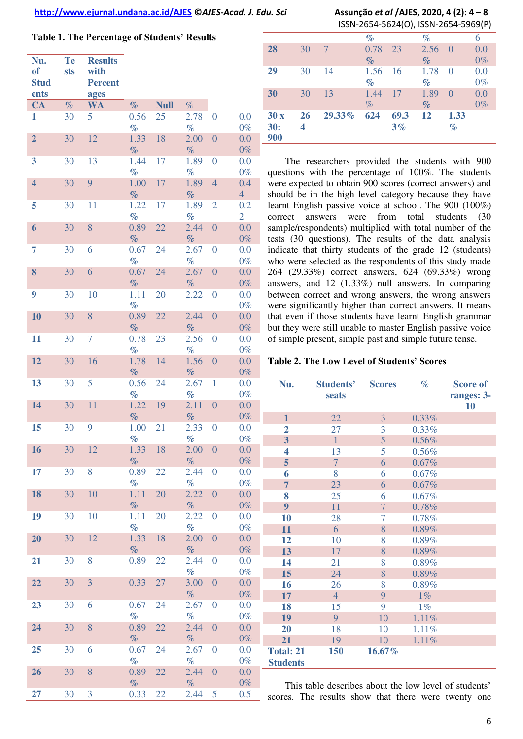#### **http://www.ejurnal.undana.ac.id/AJES ©***AJES-Acad. J. Edu. Sci* **Assunção** *et al* **/AJES, 2020, 4 (2): 4 – 8**

| Table 1. The Percentage of Students' Results |                  |                                                  |              |             |              |                  |                       |
|----------------------------------------------|------------------|--------------------------------------------------|--------------|-------------|--------------|------------------|-----------------------|
| Nu.<br><b>of</b><br><b>Stud</b><br>ents      | <b>Te</b><br>sts | <b>Results</b><br>with<br><b>Percent</b><br>ages |              |             |              |                  |                       |
| <b>CA</b>                                    | $\%$             | WA                                               | $\%$         | <b>Null</b> | $\%$         |                  |                       |
| 1                                            | 30               | 5                                                | 0.56<br>$\%$ | 25          | 2.78<br>$\%$ | $\boldsymbol{0}$ | 0.0<br>$0\%$          |
| $\overline{2}$                               | 30               | 12                                               | 1.33<br>$\%$ | 18          | 2.00<br>$\%$ | $\boldsymbol{0}$ | 0.0<br>$0\%$          |
| 3                                            | 30               | 13                                               | 1.44<br>$\%$ | 17          | 1.89<br>$\%$ | $\boldsymbol{0}$ | 0.0<br>$0\%$          |
| $\overline{\mathbf{4}}$                      | 30               | $\overline{9}$                                   | 1.00<br>$\%$ | 17          | 1.89<br>$\%$ | $\overline{4}$   | 0.4<br>$\overline{4}$ |
| 5                                            | 30               | 11                                               | 1.22<br>$\%$ | 17          | 1.89<br>$\%$ | $\overline{2}$   | 0.2<br>$\overline{2}$ |
| 6                                            | 30               | 8                                                | 0.89<br>$\%$ | 22          | 2.44<br>$\%$ | $\boldsymbol{0}$ | 0.0<br>$0\%$          |
| 7                                            | 30               | 6                                                | 0.67<br>$\%$ | 24          | 2.67<br>$\%$ | $\boldsymbol{0}$ | 0.0<br>$0\%$          |
| 8                                            | 30               | 6                                                | 0.67<br>$\%$ | 24          | 2.67<br>$\%$ | $\overline{0}$   | 0.0<br>$0\%$          |
| 9                                            | 30               | 10                                               | 1.11<br>$\%$ | 20          | 2.22         | $\boldsymbol{0}$ | 0.0<br>$0\%$          |
| 10                                           | 30               | 8                                                | 0.89<br>$\%$ | 22          | 2.44<br>$\%$ | $\overline{0}$   | 0.0<br>$0\%$          |
| 11                                           | 30               | $\overline{7}$                                   | 0.78<br>$\%$ | 23          | 2.56<br>$\%$ | $\boldsymbol{0}$ | 0.0<br>$0\%$          |
| 12                                           | 30               | 16                                               | 1.78<br>$\%$ | 14          | 1.56<br>$\%$ | $\overline{0}$   | 0.0<br>$0\%$          |
| 13                                           | 30               | 5                                                | 0.56<br>$\%$ | 24          | 2.67<br>$\%$ | $\mathbf{1}$     | 0.0<br>$0\%$          |
| 14                                           | 30               | 11                                               | 1.22<br>$\%$ | 19          | 2.11<br>$\%$ | $\overline{0}$   | 0.0<br>$0\%$          |
| 15                                           | 30               | 9                                                | 1.00<br>$\%$ | 21          | 2.33<br>$\%$ | $\boldsymbol{0}$ | 0.0<br>$0\%$          |
| 16                                           | 30               | 12                                               | 1.33<br>$\%$ | 18          | 2.00<br>$\%$ | $\overline{0}$   | 0.0<br>$0\%$          |
| 17                                           | 30               | 8                                                | 0.89<br>$\%$ | 22          | 2.44<br>$\%$ | $\boldsymbol{0}$ | 0.0<br>$0\%$          |
| 18                                           | 30               | 10                                               | 1.11<br>$\%$ | 20          | 2.22<br>$\%$ | $\boldsymbol{0}$ | 0.0<br>$0\%$          |
| 19                                           | 30               | 10                                               | 1.11<br>$\%$ | 20          | 2.22<br>$\%$ | $\boldsymbol{0}$ | 0.0<br>$0\%$          |
| 20                                           | 30               | 12                                               | 1.33<br>$\%$ | 18          | 2.00<br>$\%$ | $\boldsymbol{0}$ | 0.0<br>$0\%$          |
| 21                                           | 30               | 8                                                | 0.89         | 22          | 2.44<br>$\%$ | $\boldsymbol{0}$ | 0.0<br>$0\%$          |
| 22                                           | 30               | $\overline{3}$                                   | 0.33         | 27          | 3.00<br>$\%$ | $\overline{0}$   | 0.0<br>$0\%$          |
| 23                                           | 30               | 6                                                | 0.67<br>$\%$ | 24          | 2.67<br>$\%$ | $\overline{0}$   | 0.0<br>$0\%$          |
| 24                                           | 30               | 8                                                | 0.89<br>$\%$ | 22          | 2.44<br>$\%$ | $\overline{0}$   | 0.0<br>$0\%$          |
| 25                                           | 30               | 6                                                | 0.67<br>$\%$ | 24          | 2.67<br>$\%$ | $\boldsymbol{0}$ | 0.0<br>$0\%$          |
| 26                                           | 30               | 8                                                | 0.89<br>$\%$ | 22          | 2.44<br>$\%$ | $\overline{0}$   | 0.0<br>$0\%$          |

**27** 30 3 0.33 22 2.44 5 0.5

|     | ISSN-2654-5624(O), ISSN-2654-5969(P) |        |      |      |      |          |       |
|-----|--------------------------------------|--------|------|------|------|----------|-------|
|     |                                      |        | $\%$ |      | $\%$ |          | 6     |
| 28  | 30                                   | 7      | 0.78 | 23   | 2.56 | $\Omega$ | 0.0   |
|     |                                      |        | $\%$ |      | $\%$ |          | $0\%$ |
| 29  | 30                                   | 14     | 1.56 | 16   | 1.78 | $\Omega$ | 0.0   |
|     |                                      |        | $\%$ |      | $\%$ |          | $0\%$ |
| 30  | 30                                   | 13     | 1.44 | 17   | 1.89 | $\Omega$ | 0.0   |
|     |                                      |        | $\%$ |      | $\%$ |          | $0\%$ |
| 30x | 26                                   | 29.33% | 624  | 69.3 | 12   | 1.33     |       |
| 30: | 4                                    |        |      | 3%   |      | $\%$     |       |
| 900 |                                      |        |      |      |      |          |       |
|     |                                      |        |      |      |      |          |       |

The researchers provided the students with 900 questions with the percentage of 100%. The students were expected to obtain 900 scores (correct answers) and should be in the high level category because they have learnt English passive voice at school. The 900 (100%) correct answers were from total students (30 sample/respondents) multiplied with total number of the tests (30 questions). The results of the data analysis indicate that thirty students of the grade 12 (students) who were selected as the respondents of this study made 264 (29.33%) correct answers, 624 (69.33%) wrong answers, and 12 (1.33%) null answers. In comparing between correct and wrong answers, the wrong answers were significantly higher than correct answers. It means that even if those students have learnt English grammar but they were still unable to master English passive voice of simple present, simple past and simple future tense.

#### **Table 2. The Low Level of Students' Scores**

| Nu.                     | <b>Students'</b><br>seats | <b>Scores</b>  | $\%$  | <b>Score of</b><br>ranges: 3- |
|-------------------------|---------------------------|----------------|-------|-------------------------------|
| $\mathbf{1}$            | 22                        | 3              | 0.33% | 10                            |
| $\overline{2}$          | 27                        | 3              | 0.33% |                               |
|                         | $\mathbf{1}$              | 5              |       |                               |
| 3                       |                           |                | 0.56% |                               |
| $\overline{\mathbf{4}}$ | 13                        | 5              | 0.56% |                               |
| 5                       | $\overline{7}$            | 6              | 0.67% |                               |
| 6                       | 8                         | 6              | 0.67% |                               |
| $\overline{7}$          | 23                        | 6              | 0.67% |                               |
| 8                       | 25                        | 6              | 0.67% |                               |
| 9                       | 11                        | $\overline{7}$ | 0.78% |                               |
| 10                      | 28                        | 7              | 0.78% |                               |
| 11                      | 6                         | 8              | 0.89% |                               |
| 12                      | 10                        | 8              | 0.89% |                               |
| 13                      | 17                        | 8              | 0.89% |                               |
| 14                      | 21                        | 8              | 0.89% |                               |
| 15                      | 24                        | 8              | 0.89% |                               |
| 16                      | 26                        | 8              | 0.89% |                               |
| 17                      | $\overline{4}$            | 9              | $1\%$ |                               |
| 18                      | 15                        | 9              | $1\%$ |                               |
| 19                      | 9                         | 10             | 1.11% |                               |
| 20                      | 18                        | 10             | 1.11% |                               |
| 21                      | 19                        | 10             | 1.11% |                               |
| <b>Total: 21</b>        | 150                       | 16.67%         |       |                               |
| <b>Students</b>         |                           |                |       |                               |

This table describes about the low level of students' scores. The results show that there were twenty one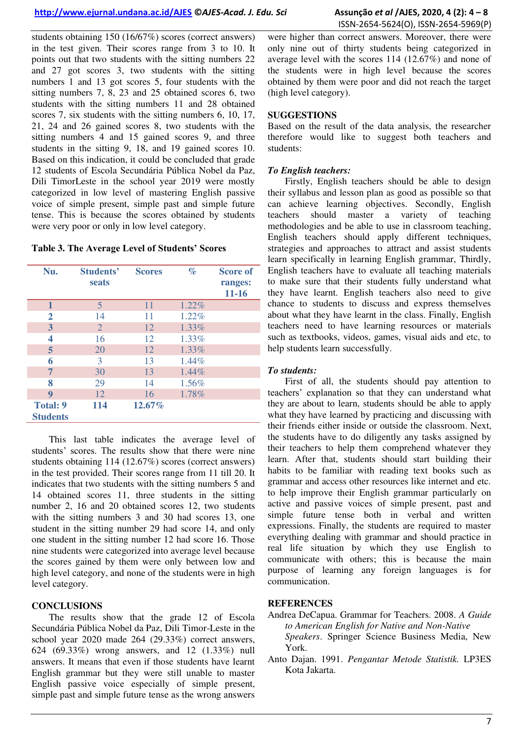students obtaining 150 (16/67%) scores (correct answers) in the test given. Their scores range from 3 to 10. It points out that two students with the sitting numbers 22 and 27 got scores 3, two students with the sitting numbers 1 and 13 got scores 5, four students with the sitting numbers 7, 8, 23 and 25 obtained scores 6, two students with the sitting numbers 11 and 28 obtained scores 7, six students with the sitting numbers 6, 10, 17, 21, 24 and 26 gained scores 8, two students with the sitting numbers 4 and 15 gained scores 9, and three students in the sitting 9, 18, and 19 gained scores 10. Based on this indication, it could be concluded that grade 12 students of Escola Secundária Pública Nobel da Paz, Dili TimorLeste in the school year 2019 were mostly categorized in low level of mastering English passive voice of simple present, simple past and simple future tense. This is because the scores obtained by students were very poor or only in low level category.

**Table 3. The Average Level of Students' Scores**

| Nu.                                | Students'<br>seats | <b>Scores</b> | $\%$     | <b>Score of</b><br>ranges:<br>$11 - 16$ |
|------------------------------------|--------------------|---------------|----------|-----------------------------------------|
| $\mathbf{1}$                       | 5                  | 11            | 1.22%    |                                         |
| 2                                  | 14                 | 11            | 1.22%    |                                         |
| $\mathbf{3}$                       | $\overline{2}$     | 12            | 1.33%    |                                         |
| 4                                  | 16                 | 12            | 1.33%    |                                         |
| 5                                  | 20                 | 12            | 1.33%    |                                         |
| 6                                  | 3                  | 13            | $1.44\%$ |                                         |
| 7                                  | 30                 | 13            | 1.44%    |                                         |
| 8                                  | 29                 | 14            | 1.56%    |                                         |
| 9                                  | 12                 | 16            | 1.78%    |                                         |
| <b>Total: 9</b><br><b>Students</b> | 114                | $12.67\%$     |          |                                         |

This last table indicates the average level of students' scores. The results show that there were nine students obtaining 114 (12.67%) scores (correct answers) in the test provided. Their scores range from 11 till 20. It indicates that two students with the sitting numbers 5 and 14 obtained scores 11, three students in the sitting number 2, 16 and 20 obtained scores 12, two students with the sitting numbers 3 and 30 had scores 13, one student in the sitting number 29 had score 14, and only one student in the sitting number 12 had score 16. Those nine students were categorized into average level because the scores gained by them were only between low and high level category, and none of the students were in high level category.

# **CONCLUSIONS**

The results show that the grade 12 of Escola Secundária Pública Nobel da Paz, Dili Timor-Leste in the school year 2020 made 264 (29.33%) correct answers, 624 (69.33%) wrong answers, and 12 (1.33%) null answers. It means that even if those students have learnt English grammar but they were still unable to master English passive voice especially of simple present, simple past and simple future tense as the wrong answers

were higher than correct answers. Moreover, there were only nine out of thirty students being categorized in average level with the scores 114 (12.67%) and none of the students were in high level because the scores obtained by them were poor and did not reach the target (high level category).

# **SUGGESTIONS**

Based on the result of the data analysis, the researcher therefore would like to suggest both teachers and students:

# *To English teachers:*

Firstly, English teachers should be able to design their syllabus and lesson plan as good as possible so that can achieve learning objectives. Secondly, English teachers should master a variety of teaching methodologies and be able to use in classroom teaching, English teachers should apply different techniques, strategies and approaches to attract and assist students learn specifically in learning English grammar, Thirdly, English teachers have to evaluate all teaching materials to make sure that their students fully understand what they have learnt. English teachers also need to give chance to students to discuss and express themselves about what they have learnt in the class. Finally, English teachers need to have learning resources or materials such as textbooks, videos, games, visual aids and etc, to help students learn successfully.

# *To students:*

First of all, the students should pay attention to teachers' explanation so that they can understand what they are about to learn, students should be able to apply what they have learned by practicing and discussing with their friends either inside or outside the classroom. Next, the students have to do diligently any tasks assigned by their teachers to help them comprehend whatever they learn. After that, students should start building their habits to be familiar with reading text books such as grammar and access other resources like internet and etc. to help improve their English grammar particularly on active and passive voices of simple present, past and simple future tense both in verbal and written expressions. Finally, the students are required to master everything dealing with grammar and should practice in real life situation by which they use English to communicate with others; this is because the main purpose of learning any foreign languages is for communication.

# **REFERENCES**

- Andrea DeCapua. Grammar for Teachers. 2008. *A Guide to American English for Native and Non-Native Speakers*. Springer Science Business Media, New York.
- Anto Dajan. 1991. *Pengantar Metode Statistik.* LP3ES Kota Jakarta.